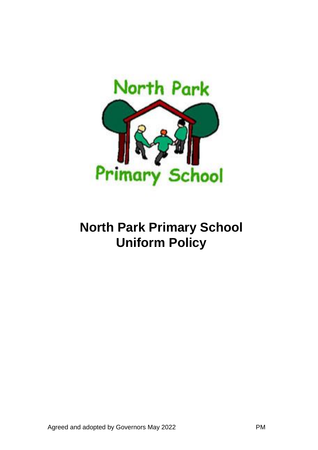

# **North Park Primary School Uniform Policy**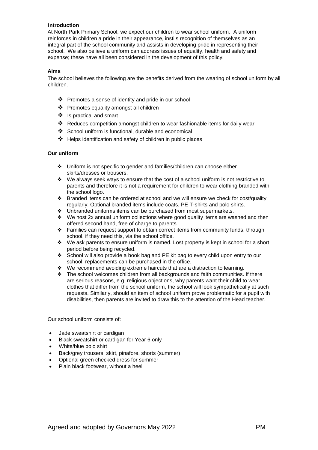# **Introduction**

At North Park Primary School, we expect our children to wear school uniform. A uniform reinforces in children a pride in their appearance, instils recognition of themselves as an integral part of the school community and assists in developing pride in representing their school. We also believe a uniform can address issues of equality, health and safety and expense; these have all been considered in the development of this policy.

## **Aims**

The school believes the following are the benefits derived from the wearing of school uniform by all children.

- ❖ Promotes a sense of identity and pride in our school
- ❖ Promotes equality amongst all children
- ❖ Is practical and smart
- ❖ Reduces competition amongst children to wear fashionable items for daily wear
- ❖ School uniform is functional, durable and economical
- ❖ Helps identification and safety of children in public places

### **Our uniform**

- ❖ Uniform is not specific to gender and families/children can choose either skirts/dresses or trousers.
- ❖ We always seek ways to ensure that the cost of a school uniform is not restrictive to parents and therefore it is not a requirement for children to wear clothing branded with the school logo.
- ❖ Branded items can be ordered at school and we will ensure we check for cost/quality regularly. Optional branded items include coats, PE T-shirts and polo shirts.
- ❖ Unbranded uniforms items can be purchased from most supermarkets.
- $\cdot \cdot$  We host 2x annual uniform collections where good quality items are washed and then offered second hand, free of charge to parents.
- ❖ Families can request support to obtain correct items from community funds, through school, if they need this, via the school office.
- ❖ We ask parents to ensure uniform is named. Lost property is kept in school for a short period before being recycled.
- ❖ School will also provide a book bag and PE kit bag to every child upon entry to our school; replacements can be purchased in the office.
- ❖ We recommend avoiding extreme haircuts that are a distraction to learning.
- ❖ The school welcomes children from all backgrounds and faith communities. If there are serious reasons, e.g. religious objections, why parents want their child to wear clothes that differ from the school uniform, the school will look sympathetically at such requests. Similarly, should an item of school uniform prove problematic for a pupil with disabilities, then parents are invited to draw this to the attention of the Head teacher.

Our school uniform consists of:

- Jade sweatshirt or cardigan
- Black sweatshirt or cardigan for Year 6 only
- White/blue polo shirt
- Back/grey trousers, skirt, pinafore, shorts (summer)
- Optional green checked dress for summer
- Plain black footwear, without a heel